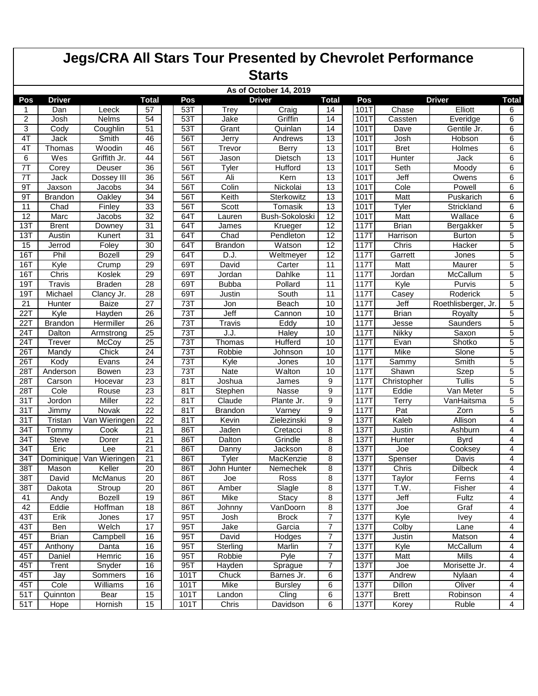|                | <b>Jegs/CRA All Stars Tour Presented by Chevrolet Performance</b><br><b>Starts</b> |                  |                 |  |      |                |                                         |                 |             |               |                     |                |
|----------------|------------------------------------------------------------------------------------|------------------|-----------------|--|------|----------------|-----------------------------------------|-----------------|-------------|---------------|---------------------|----------------|
|                |                                                                                    |                  |                 |  |      |                |                                         |                 |             |               |                     |                |
| Pos            | <b>Driver</b>                                                                      |                  | <b>Total</b>    |  | Pos  |                | As of October 14, 2019<br><b>Driver</b> | <b>Total</b>    | Pos         |               | <b>Driver</b>       | <b>Total</b>   |
|                | Dan                                                                                | Leeck            | 57              |  | 53T  | Trey           | Craig                                   | 14              | 101T        | Chase         | Elliott             | 6              |
| 2              | Josh                                                                               | <b>Nelms</b>     | 54              |  | 531  | Jake           | Griffin                                 | 14              | 101T        | Cassten       | Everidge            | 6              |
| 3              | Cody                                                                               | Coughlin         | 51              |  | 531  | Grant          | Quinlan                                 | 14              | 101T        | Dave          | Gentile Jr.         | 6              |
| 4T             | Jack                                                                               | Smith            | 46              |  | 56T  | Jerry          | Andrews                                 | 13              | 101T        | Josh          | Hobson              | 6              |
| 4T             | Thomas                                                                             | Woodin           | 46              |  | 56T  | Trevor         | <b>Berry</b>                            | 13              | 101T        | <b>Bret</b>   | Holmes              | 6              |
| 6              | Wes                                                                                | Griffith Jr.     | 44              |  | 56T  | Jason          | Dietsch                                 | 13              | 101T        | <b>Hunter</b> | Jack                | 6              |
| 7 <sub>T</sub> | Corey                                                                              | Deuser           | 36              |  | 56T  | Tyler          | Hufford                                 | 13              | 101T        | Seth          | Moody               | 6              |
| 7T             | Jack                                                                               | Dossey III       | 36              |  | 56T  | Ali            | Kern                                    | 13              | 101T        | Jeff          | Owens               | 6              |
| 9T             | Jaxson                                                                             | Jacobs           | 34              |  | 56T  | Colin          | Nickolai                                | 13              | 101T        | Cole          | Powell              | 6              |
| 9T             | <b>Brandon</b>                                                                     | Oakley           | 34              |  | 56T  | Keith          | Sterkowitz                              | 13              | 101T        | Matt          | Puskarich           | 6              |
| 11             | Chad                                                                               | Finley           | 33              |  | 56T  | Scott          | Tomasik                                 | 13              | 101T        | Tyler         | Strickland          | 6              |
| 12             | Marc                                                                               | Jacobs           | 32              |  | 64T  | Lauren         | Bush-Sokoloski                          | 12              | 101T        | Matt          | Wallace             | 6              |
| 13T            | <b>Brent</b>                                                                       | Downey           | 31              |  | 64T  | James          | Krueger                                 | 12              | 117T        | <b>Brian</b>  | Bergakker           | 5              |
| 13T            | Austin                                                                             | Kunert           | 31              |  | 64T  | Chad           | Pendleton                               | $\overline{12}$ | <b>117T</b> | Harrison      | <b>Burton</b>       | 5              |
| 15             | Jerrod                                                                             | Foley            | 30              |  | 64T  | <b>Brandon</b> | Watson                                  | $\overline{12}$ | 117T        | Chris         | Hacker              | 5              |
| 16T            | Phil                                                                               | <b>Bozell</b>    | 29              |  | 64T  | D.J.           | Weltmeyer                               | 12              | 117T        | Garrett       | Jones               | 5              |
| 16T            | Kyle                                                                               | Crump            | 29              |  | 69T  | David          | Carter                                  | 11              | 117T        | Matt          | Maurer              | 5              |
| 16T            | Chris                                                                              | Koslek           | 29              |  | 69T  | Jordan         | Dahlke                                  | 11              | 117T        | Jordan        | McCallum            | 5              |
| 19T            | Travis                                                                             | <b>Braden</b>    | 28              |  | 69T  | <b>Bubba</b>   | Pollard                                 | 11              | 117T        | Kyle          | Purvis              | $\overline{5}$ |
| 19T            | Michael                                                                            | Clancy Jr.       | 28              |  | 69T  | Justin         | South                                   | 11              | 117T        | Casey         | Roderick            | 5              |
| 21             | Hunter                                                                             | <b>Baize</b>     | 27              |  | 73T  | Jon            | Beach                                   | 10              | 117T        | Jeff          | Roethlisberger, Jr. | 5              |
| 22T            | Kyle                                                                               | Hayden           | 26              |  | 73T  | Jeff           | Cannon                                  | 10              | <b>117T</b> | <b>Brian</b>  | Royalty             | $\overline{5}$ |
| 22T            | <b>Brandon</b>                                                                     | <b>Hermiller</b> | 26              |  | 73T  | Travis         | Eddy                                    | 10              | 117T        | Jesse         | Saunders            | 5              |
| 24T            | Dalton                                                                             | Armstrong        | 25              |  | 73T  | J.J            | Haley                                   | 10              | 117T        | Nikky         | Saxon               | 5              |
| 241            | Trever                                                                             | McCoy            | $\overline{25}$ |  | 73T  | Thomas         | <b>Hufferd</b>                          | 10              | <b>117T</b> | Evan          | Shotko              | $\overline{5}$ |
| 26T            | Mandy                                                                              | Chick            | 24              |  | 73T  | Robbie         | Johnson                                 | 10              | 117T        | Mike          | Slone               | 5              |
| 26T            | Kody                                                                               | Evans            | 24              |  | 73T  | Kyle           | Jones                                   | 10              | 117T        | Sammy         | Smith               | 5              |
| 28T            | Anderson                                                                           | Bowen            | 23              |  | 73T  | Nate           | Walton                                  | 10              | 117T        | Shawn         | Szep                | 5              |
| 28T            | Carson                                                                             | Hocevar          | 23              |  | 81T  | Joshua         | James                                   | 9               | 117T        | Christopher   | Tullis              | 5              |
| 28T            | Cole                                                                               | Rouse            | 23              |  | 81T  | Stephen        | Nasse                                   | 9               | 117T        | Eddie         | Van Meter           | 5              |
| 31T            | Jordon                                                                             | Miller           | 22              |  | 81T  | Claude         | Plante Jr.                              | 9               | 117T        | Terry         | VanHaitsma          | 5              |
| 31T            | Jimmy                                                                              | Novak            | 22              |  | 81T  | <b>Brandon</b> | Varney                                  | 9               | 117T        | Pat           | Zorn                | 5              |
| 317            | Tristan                                                                            | Van Wieringen    | $\overline{22}$ |  | 81   | Kevin          | Zielezinski                             | 9               | <b>137T</b> | Kaleb         | Allison             | 4              |
| 341            | Tommy                                                                              | Cook             | 21              |  | 86T  | Jaden          | Cretacci                                | 8               | <b>137T</b> | Justin        | Ashburn             | 4              |
| 34T            | <b>Steve</b>                                                                       | Dorer            | 21              |  | 86T  | Dalton         | Grindle                                 | 8               | 137T        | Hunter        | <b>Byrd</b>         | 4              |
| 34T            | Eric                                                                               | Lee              | 21              |  | 86T  | Danny          | Jackson                                 | 8               | 137T        | Joe           | Cooksey             | 4              |
| 34T            | Dominique                                                                          | Van Wieringen    | 21              |  | 86T  | Tyler          | MacKenzie                               | 8               | 137T        | Spenser       | Davis               | $\overline{4}$ |
| 38T            | Mason                                                                              | Keller           | 20              |  | 86T  | John Hunter    | Nemechek                                | 8               | 137T        | Chris         | Dilbeck             | 4              |
| 38T            | David                                                                              | McManus          | $\overline{20}$ |  | 86T  | Joe            | Ross                                    | 8               | 137T        | Taylor        | Ferns               | 4              |
| 38T            | Dakota                                                                             | Stroup           | 20              |  | 86T  | Amber          | Slagle                                  | 8               | 137T        | T.W.          | Fisher              | 4              |
| 41             | Andy                                                                               | Bozell           | 19              |  | 86T  | <b>Mike</b>    | <b>Stacy</b>                            | 8               | 137T        | Jeff          | Fultz               | 4              |
| 42             | Eddie                                                                              | Hoffman          | 18              |  | 86T  | Johnny         | VanDoorn                                | 8               | 137T        | Joe           | Graf                | $\overline{4}$ |
| 43T            | Erik                                                                               | Jones            | 17              |  | 95T  | Josh           | <b>Brock</b>                            | $\overline{7}$  | 137T        | Kyle          | <b>Ivey</b>         | 4              |
| 43T            | Ben                                                                                | Welch            | 17              |  | 95T  | Jake           | Garcia                                  | $\overline{7}$  | 137T        | Colby         | Lane                | 4              |
| 45T            | <b>Brian</b>                                                                       | Campbell         | 16              |  | 95T  | David          | Hodges                                  | $\overline{7}$  | 137T        | Justin        | Matson              | 4              |
| 45T            | Anthony                                                                            | Danta            | 16              |  | 95T  | Sterling       | Marlin                                  | $\overline{7}$  | 137T        | Kyle          | McCallum            | $\overline{4}$ |
| 45T            | Daniel                                                                             | Hemric           | 16              |  | 95T  | Robbie         | Pyle                                    | $\overline{7}$  | 137T        | Matt          | Mills               | 4              |
| 45T            | Trent                                                                              | Snyder           | 16              |  | 95T  | Hayden         | Sprague                                 | $\overline{7}$  | 137T        | Joe           | Morisette Jr.       | 4              |
| 45T            | Jay                                                                                | Sommers          | 16              |  | 101T | Chuck          | Barnes Jr.                              | 6               | 137T        | Andrew        | Nylaan              | 4              |
| 45T            | Cole                                                                               | Williams         | 16              |  | 101T | Mike           | <b>Bursley</b>                          | 6               | 137T        | Dillon        | Oliver              | 4              |
| 51T            | Quinnton                                                                           | Bear             | 15              |  | 101T | Landon         | Cling                                   | 6               | 137T        | <b>Brett</b>  | Robinson            | 4              |
| 51T            | Hope                                                                               | Hornish          | 15              |  | 101T | Chris          | Davidson                                | 6               | <b>137T</b> | Korey         | Ruble               | $\overline{4}$ |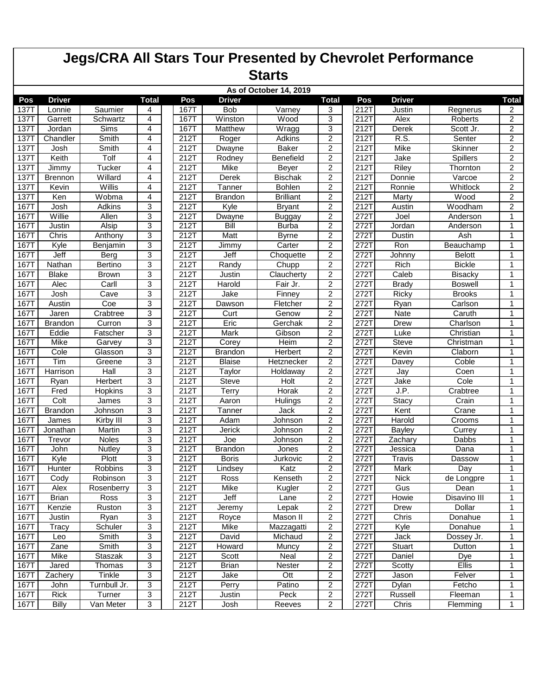## **Jegs/CRA All Stars Tour Presented by Chevrolet Performance Starts**

|             |                |                |                |              |                | As of October 14, 2019 |                         |              |                    |                 |                |
|-------------|----------------|----------------|----------------|--------------|----------------|------------------------|-------------------------|--------------|--------------------|-----------------|----------------|
| Pos         | <b>Driver</b>  |                | <b>Total</b>   | Pos          | <b>Driver</b>  |                        | <b>Total</b>            | Pos          | <b>Driver</b>      |                 | <b>Total</b>   |
| 137T        | Lonnie         | Saumier        | 4              | 167T         | <b>Bob</b>     | Varney                 | 3                       | 212T         | Justin             | Regnerus        | $\overline{2}$ |
| 137T        | Garrett        | Schwartz       | 4              | 167T         | Winston        | Wood                   | 3                       | 212T         | Alex               | Roberts         | $\overline{2}$ |
| <b>137T</b> | Jordan         | Sims           | 4              | 167T         | Matthew        | Wragg                  | 3                       | 212T         | Derek              | Scott Jr.       | $\overline{2}$ |
| 1371        | Chandler       | Smith          | 4              | 212T         | Roger          | Adkins                 | $\overline{c}$          | 212T         | R.S.               | Senter          | $\overline{2}$ |
| 137         | Josh           | Smith          | 4              | 212T         | Dwayne         | <b>Baker</b>           | $\boldsymbol{2}$        | 212T         | <b>Mike</b>        | Skinner         | $\overline{2}$ |
| <b>137T</b> | Keith          | Tolf           | 4              | 212T         | Rodney         | Benefield              | $\overline{c}$          | 212T         | Jake               | <b>Spillers</b> | $\overline{2}$ |
| 137T        | Jimmy          | <b>Tucker</b>  | 4              | 212T         | Mike           | Beyer                  | $\overline{2}$          | 212T         | Riley              | Thornton        | $\overline{2}$ |
| 1371        | <b>Brennon</b> | Willard        | 4              | 212T         | Derek          | <b>Bischak</b>         | $\boldsymbol{2}$        | 212T         | Donnie             | Varcoe          | $\overline{2}$ |
| <b>137T</b> | Kevin          | Willis         | 4              | 212T         | Tanner         | Bohlen                 | $\overline{c}$          | 212T         | Ronnie             | Whitlock        | $\overline{2}$ |
| <b>137T</b> | Ken            | Wobma          | 4              | 212T         | Brandon        | <b>Brilliant</b>       | $\overline{2}$          | 212T         | Marty              | Wood            | $\overline{2}$ |
| <b>167T</b> | Josh           | Adkins         | 3              | 212T         | Kyle           | <b>Bryant</b>          | $\overline{2}$          | 212T         | Austin             | Woodham         | $\overline{c}$ |
| 1671        | Willie         | Allen          | 3              | 212T         | Dwayne         | <b>Buggay</b>          | $\overline{2}$          | 272T         | Joel               | Anderson        | $\mathbf{1}$   |
| <b>167T</b> | Justin         | Alsip          | 3              | 212T         | Bill           | <b>Burba</b>           | $\overline{2}$          | 272T         | Jordan             | Anderson        | 1              |
| <b>167T</b> | Chris          | Anthony        | 3              | 212T         | <b>Matt</b>    | <b>Byrne</b>           | $\boldsymbol{2}$        | 272T         | <b>Dustin</b>      | Ash             | -1             |
| 1671        | Kyle           | Benjamin       | 3              | 212T         | Jimmy          | Carter                 | $\overline{c}$          | 272T         | Ron                | Beauchamp       | 1              |
| <b>167T</b> | Jeff           | Berg           | 3              | 212T         | Jeff           | Choquette              | $\overline{c}$          | 272T         | Johnny             | <b>Belott</b>   | $\mathbf{1}$   |
| <b>167T</b> | Nathan         | Bertino        | 3              | 212T         | Randy          | Chupp                  | $\boldsymbol{2}$        | 272T         | Rich               | <b>Bickle</b>   | $\mathbf{1}$   |
| <b>167T</b> | <b>Blake</b>   | <b>Brown</b>   | 3              | 212T         | Justin         | Claucherty             | $\overline{c}$          | 272T         | Caleb              | <b>Bisacky</b>  | $\mathbf{1}$   |
| 1671        | Alec           | Carll          | 3              | 212T         | Harold         | Fair Jr.               | $\overline{c}$          | 272T         | <b>Brady</b>       | <b>Boswell</b>  | 1              |
| <b>167T</b> | Josh           | Cave           | 3              | 212T         | Jake           | Finney                 | 2                       | 272T         | Ricky              | <b>Brooks</b>   | 1              |
| 167T        | Austin         | Coe            | 3              | 212T         | Dawson         | Fletcher               | $\overline{c}$          | 272T         | Ryan               | Carlson         | $\mathbf{1}$   |
| <b>167T</b> | Jaren          | Crabtree       | 3              | 212T         | Curt           | Genow                  | $\overline{c}$          | 272T         | Nate               | Caruth          | 1              |
| 1671        | <b>Brandon</b> | Curron         | 3              | 212T         | Eric           | Gerchak                | $\boldsymbol{2}$        | 272T         | Drew               | Charlson        | $\mathbf{1}$   |
| 1671        | Eddie          | Fatscher       | 3              | 212T         | <b>Mark</b>    | Gibson                 | $\overline{2}$          | 272T         | Luke               | Christian       | $\mathbf{1}$   |
| <b>167T</b> | Mike           | Garvev         | 3              | 212T         | Corey          | Heim                   | $\overline{c}$          | 272T         | Steve              | Christman       | 1              |
| 1671        | Cole           | Glasson        | 3              | 212T         | <b>Brandon</b> | Herbert                | 2                       | 272T         | Kevin              | Claborn         | $\mathbf 1$    |
| 1671        | Tim            | Greene         | 3              | 212T         | <b>Blaise</b>  | Hetznecker             | $\overline{c}$          | $272$ T      | Davey              | Coble           | $\mathbf{1}$   |
| 1671        | Harrison       | Hall           | 3              | 212T         | Taylor         | Holdaway               | $\overline{c}$          | 272T         | Jay                | Coen            | 1              |
| 167T        | Ryan           | Herbert        | 3              | 212T         | <b>Steve</b>   | Holt                   | $\overline{2}$          | 272T         | Jake               | Cole            | $\mathbf{1}$   |
| <b>167T</b> | Fred           | <b>Hopkins</b> | 3              | 212T         | Terry          | Horak                  | $\overline{2}$          | 272T         | J.P.               | Crabtree        | $\mathbf{1}$   |
| <b>167T</b> | Colt           | James          | 3              | 212T         | Aaron          | Hulings                | $\overline{2}$          | 272T         | <b>Stacy</b>       | Crain           | $\mathbf{1}$   |
| 1671        | <b>Brandon</b> | Johnson        | $\overline{3}$ | 212T         | Tanner         | Jack                   | $\boldsymbol{2}$        | $272$ T      | Kent               | Crane           | $\mathbf{1}$   |
| <b>167T</b> | James          | Kirby III      | 3              | 212T         | Adam           | Johnson                | $\boldsymbol{2}$        | 272T         | Harold             | Crooms          | 1              |
| 1671        |                | Martin         | 3              | 212T         | Jerick         |                        | $\overline{c}$          | 272T         | Bayley             | Currey          | $\mathbf{1}$   |
| 1671        | Jonathan       | <b>Noles</b>   | $\overline{3}$ | 212T         | Joe            | Johnson<br>Johnson     | $\overline{2}$          | 272T         |                    | Dabbs           | $\mathbf{1}$   |
| <b>167T</b> | Trevor<br>John | Nutley         | 3              | 212T         | <b>Brandon</b> | Jones                  | $\overline{c}$          | 272T         | Zachary<br>Jessica | Dana            | $\mathbf{1}$   |
| <b>167T</b> | Kyle           | Plott          | 3              | 212T         | <b>Boris</b>   |                        | $\overline{c}$          | 272T         |                    | Dassow          | $\mathbf{1}$   |
| <b>167T</b> | <b>Hunter</b>  | Robbins        | 3              | 212T         |                | Jurkovic<br>Katz       | $\overline{c}$          | 272T         | Travis<br>Mark     | Day             | 1              |
|             |                | Robinson       | 3              |              | Lindsey        |                        | $\overline{2}$          |              |                    |                 | -1             |
| 167T        | Cody           |                |                | 212T<br>212T | Ross           | Kenseth                |                         | 272T<br>272T | <b>Nick</b>        | de Longpre      |                |
| 167T        | Alex           | Rosenberry     | 3              |              | Mike           | Kugler                 | 2                       |              | Gus                | Dean            | 1              |
| 167T        | Brian          | Ross           | 3              | 212T         | Jeff           | Lane                   | $\overline{c}$          | 272T         | Howie              | Disavino III    | $\mathbf{1}$   |
| 167T        | Kenzie         | Ruston         | 3              | 212T         | Jeremy         | Lepak                  | $\boldsymbol{2}$        | 272T         | Drew               | Dollar          | $\mathbf{1}$   |
| <b>167T</b> | Justin         | Ryan           | 3              | 212T         | Royce          | Mason II               | $\boldsymbol{2}$        | 272T         | Chris              | Donahue         | $\mathbf{1}$   |
| 167T        | Tracy          | Schuler        | 3              | 212T         | Mike           | Mazzagatti             | $\overline{c}$          | 272T         | Kyle               | Donahue         | 1              |
| 167T        | Leo            | Smith          | 3              | 212T         | David          | Michaud                | $\overline{\mathbf{c}}$ | 272T         | Jack               | Dossey Jr.      | 1              |
| 167T        | Zane           | Smith          | 3              | 212T         | Howard         | Muncy                  | 2                       | 272T         | Stuart             | Dutton          | $\mathbf{1}$   |
| 167T        | Mike           | Staszak        | 3              | 212T         | Scott          | Neal                   | $\boldsymbol{2}$        | 272T         | Daniel             | Dye             | 1              |
| 167T        | Jared          | Thomas         | 3              | 212T         | <b>Brian</b>   | Nester                 | $\boldsymbol{2}$        | 272T         | Scotty             | Ellis           | $\mathbf{1}$   |
| <b>167T</b> | Zachery        | Tinkle         | 3              | 212T         | Jake           | Ott                    | $\overline{2}$          | 272T         | Jason              | Felver          | $\mathbf{1}$   |
| 167T        | John           | Turnbull Jr.   | 3              | 212T         | Perry          | Patino                 | $\overline{c}$          | 272T         | Dylan              | Fetcho          | 1              |
| 167T        | <b>Rick</b>    | Turner         | 3              | 212T         | Justin         | Peck                   | 2                       | 272T         | Russell            | Fleeman         | 1              |
| 167T        | <b>Billy</b>   | Van Meter      | 3              | 212T         | Josh           | Reeves                 | $\boldsymbol{2}$        | 272T         | Chris              | Flemming        | $\mathbf{1}$   |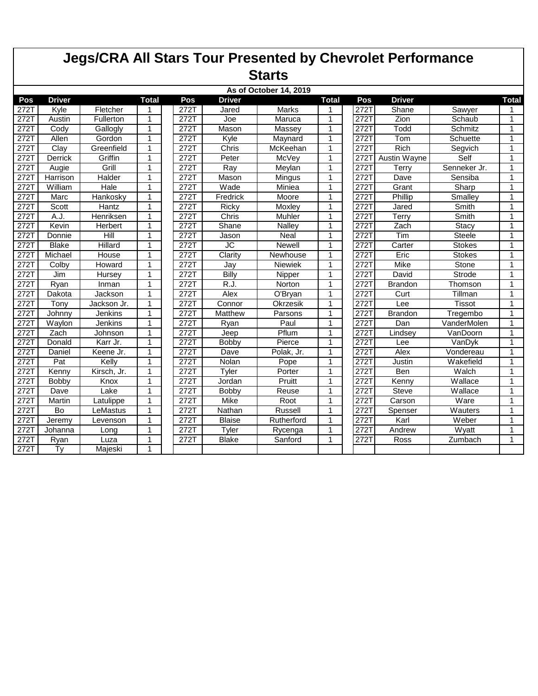|                                         |                 |             |              |      |                        | <b>Jegs/CRA All Stars Tour Presented by Chevrolet Performance</b> |              |      |                |               |              |  |  |
|-----------------------------------------|-----------------|-------------|--------------|------|------------------------|-------------------------------------------------------------------|--------------|------|----------------|---------------|--------------|--|--|
| <b>Starts</b><br>As of October 14, 2019 |                 |             |              |      |                        |                                                                   |              |      |                |               |              |  |  |
|                                         |                 |             |              |      |                        |                                                                   |              |      |                |               |              |  |  |
| 272T                                    | Kyle            | Fletcher    |              | 272T | Jared                  | <b>Marks</b>                                                      | 1            | 272T | Shane          | Sawyer        | 1            |  |  |
| 272T                                    | Austin          | Fullerton   | 1            | 272T | Joe                    | Maruca                                                            | 1            | 272T | Zion           | Schaub        | 1            |  |  |
| 272T                                    | Cody            | Gallogly    | $\mathbf{1}$ | 272T | Mason                  | Massey                                                            | 1            | 272T | Todd           | Schmitz       | 1            |  |  |
| 272T                                    | Allen           | Gordon      | $\mathbf{1}$ | 272T | Kyle                   | Maynard                                                           | 1            | 272T | Tom            | Schuette      | $\mathbf{1}$ |  |  |
| 272T                                    | Clay            | Greenfield  | $\mathbf{1}$ | 272T | Chris                  | McKeehan                                                          | 1            | 272T | <b>Rich</b>    | Segvich       | 1            |  |  |
| 2721                                    | Derrick         | Griffin     | 1            | 272T | Peter                  | McVey                                                             | 1            | 272T | Austin Wayne   | Self          | 1            |  |  |
| 2721                                    | Augie           | Grill       | $\mathbf{1}$ | 272T | Ray                    | Meylan                                                            | 1            | 272T | Terry          | Senneker Jr.  | $\mathbf{1}$ |  |  |
| 272T                                    | Harrison        | Halder      | $\mathbf{1}$ | 272T | Mason                  | Mingus                                                            | 1            | 272T | Dave           | Sensiba       | 1            |  |  |
| 272T                                    | William         | <b>Hale</b> | $\mathbf{1}$ | 272T | Wade                   | Miniea                                                            | $\mathbf{1}$ | 272T | Grant          | Sharp         | $\mathbf{1}$ |  |  |
| 272T                                    | Marc            | Hankosky    | $\mathbf 1$  | 272T | Fredrick               | Moore                                                             | 1            | 272T | Phillip        | Smalley       | 1            |  |  |
| 2721                                    | Scott           | Hantz       | $\mathbf{1}$ | 272T | Ricky                  | Moxley                                                            | 1            | 272T | Jared          | Smith         | 1            |  |  |
| 272T                                    | A.J.            | Henriksen   | $\mathbf{1}$ | 272T | Chris                  | Muhler                                                            | 1            | 272T | Terry          | Smith         | 1            |  |  |
| 272T                                    | Kevin           | Herbert     | 1            | 272T | Shane                  | Nalley                                                            | 1            | 272T | Zach           | Stacy         | 1            |  |  |
| 272T                                    | Donnie          | Hill        | $\mathbf{1}$ | 272T | Jason                  | <b>Neal</b>                                                       | 1            | 272T | Tim            | <b>Steele</b> | 1            |  |  |
| 272T                                    | <b>Blake</b>    | Hillard     | $\mathbf{1}$ | 272T | $\overline{\text{JC}}$ | <b>Newell</b>                                                     | 1            | 272T | Carter         | <b>Stokes</b> | $\mathbf{1}$ |  |  |
| 272T                                    | Michael         | House       | 1            | 272T | Clarity                | Newhouse                                                          | 1            | 272T | Eric           | <b>Stokes</b> | 1            |  |  |
| 2721                                    | Colby           | Howard      | $\mathbf{1}$ | 272T | Jay                    | Niewiek                                                           | 1            | 272T | <b>Mike</b>    | Stone         | 1            |  |  |
| 272T                                    | Jim             | Hursey      | 1            | 272T | Billy                  | Nipper                                                            | 1            | 272T | David          | <b>Strode</b> | $\mathbf{1}$ |  |  |
| 272T                                    | Ryan            | Inman       | $\mathbf{1}$ | 272T | R.J.                   | Norton                                                            | 1            | 272T | <b>Brandon</b> | Thomson       | 1            |  |  |
| 272T                                    | Dakota          | Jackson     | $\mathbf{1}$ | 272T | Alex                   | O'Bryan                                                           | 1            | 272T | Curt           | Tillman       | 1            |  |  |
| 2721                                    | Tony            | Jackson Jr. | 1            | 272T | Connor                 | Okrzesik                                                          | 1            | 272T | Lee            | <b>Tissot</b> | 1            |  |  |
| 272T                                    | Johnny          | Jenkins     | $\mathbf{1}$ | 272T | Matthew                | Parsons                                                           | 1            | 272T | <b>Brandon</b> | Tregembo      | $\mathbf{1}$ |  |  |
| 272T                                    | Waylon          | Jenkins     | 1            | 272T | Ryan                   | Paul                                                              | 1            | 272T | Dan            | VanderMolen   | $\mathbf{1}$ |  |  |
| 272T                                    | Zach            | Johnson     | 1            | 272T | Jeep                   | Pflum                                                             | $\mathbf{1}$ | 272T | Lindsey        | VanDoorn      | $\mathbf{1}$ |  |  |
| 272T                                    | Donald          | Karr Jr.    | -1           | 272T | Bobby                  | Pierce                                                            | 1            | 272T | Lee            | VanDyk        | 1            |  |  |
| 272T                                    | Daniel          | Keene Jr.   | 1            | 272T | Dave                   | Polak, Jr.                                                        | 1            | 272T | Alex           | Vondereau     | 1            |  |  |
| 272T                                    | Pat             | Kelly       | $\mathbf{1}$ | 272T | Nolan                  | Pope                                                              | 1            | 272T | Justin         | Wakefield     | 1            |  |  |
| 272T                                    | Kenny           | Kirsch, Jr. | $\mathbf 1$  | 272T | Tyler                  | Porter                                                            | 1            | 272T | Ben            | Walch         | $\mathbf{1}$ |  |  |
| 272T                                    | Bobby           | Knox        | $\mathbf{1}$ | 272T | Jordan                 | Pruitt                                                            | 1            | 272T | Kenny          | Wallace       | $\mathbf{1}$ |  |  |
| 272T                                    | Dave            | Lake        | $\mathbf{1}$ | 272T | <b>Bobby</b>           | Reuse                                                             | 1            | 272T | Steve          | Wallace       | $\mathbf{1}$ |  |  |
| 272T                                    | Martin          | Latulippe   | 1            | 272T | Mike                   | Root                                                              | 1            | 272T | Carson         | Ware          | 1            |  |  |
| 2721                                    | Bo              | LeMastus    | $\mathbf{1}$ | 272T | Nathan                 | Russell                                                           | 1            | 272T | Spenser        | Wauters       | 1            |  |  |
| 2721                                    | Jeremy          | Levenson    | $\mathbf{1}$ | 272T | <b>Blaise</b>          | Rutherford                                                        | 1            | 272T | Karl           | Weber         | $\mathbf{1}$ |  |  |
| 272T                                    | Johanna         | Long        | $\mathbf{1}$ | 272T | Tyler                  | Rycenga                                                           | 1            | 272T | Andrew         | Wyatt         | 1            |  |  |
| 272T                                    | Ryan            | Luza        | 1            | 272T | <b>Blake</b>           | Sanford                                                           | 1            | 272T | Ross           | Zumbach       | $\mathbf{1}$ |  |  |
| 272T                                    | $\overline{Ty}$ | Majeski     | $\mathbf 1$  |      |                        |                                                                   |              |      |                |               |              |  |  |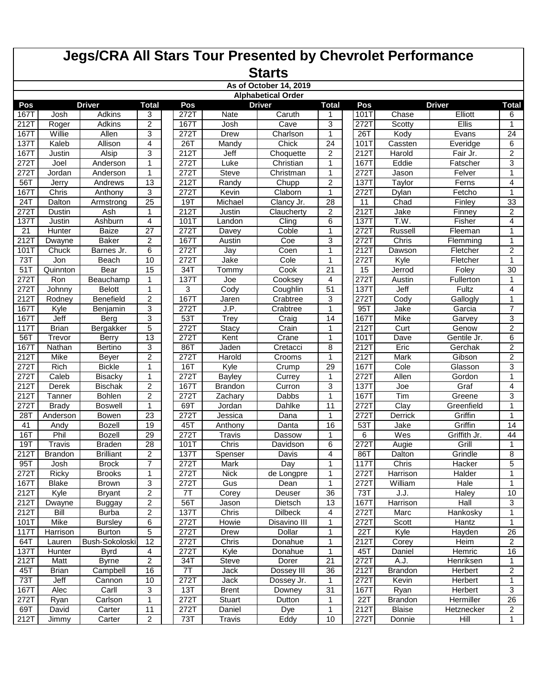|                           | <b>Jegs/CRA All Stars Tour Presented by Chevrolet Performance</b> |                         |                 |             |                        |                        |                 |                     |                 |                       |                   |  |  |
|---------------------------|-------------------------------------------------------------------|-------------------------|-----------------|-------------|------------------------|------------------------|-----------------|---------------------|-----------------|-----------------------|-------------------|--|--|
|                           | <b>Starts</b>                                                     |                         |                 |             |                        |                        |                 |                     |                 |                       |                   |  |  |
|                           |                                                                   |                         |                 |             |                        | As of October 14, 2019 |                 |                     |                 |                       |                   |  |  |
| <b>Alphabetical Order</b> |                                                                   |                         |                 |             |                        |                        |                 |                     |                 |                       |                   |  |  |
| Pos                       |                                                                   | <b>Driver</b>           | <b>Total</b>    | Pos         |                        | <b>Driver</b>          | <b>Total</b>    | Pos                 |                 | <b>Driver</b>         | <b>Total</b>      |  |  |
| <b>167T</b>               | Josh                                                              | Adkins                  | 3               | 272T        | Nate                   | Caruth                 | 1               | 101T                | Chase           | Elliott               | 6                 |  |  |
| 212T                      | Roger                                                             | Adkins                  | 2               | 167T        | Josh                   | Cave                   | 3               | 272T                | Scotty          | Ellis                 | 1                 |  |  |
| <b>167T</b>               | Willie                                                            | Allen                   | 3               | 272T        | Drew                   | Charlson               | 1               | 26T                 | Kody            | Evans                 | 24                |  |  |
| 1371                      | Kaleb                                                             | Allison                 | 4               | 26T         | Mandy                  | Chick                  | 24              | 101T                | Cassten         | Everidge              | 6                 |  |  |
| 167T                      | Justin                                                            | Alsip                   | 3               | 212T        | Jeff                   | Choquette              | $\overline{2}$  | 212T                | Harold          | Fair Jr.              | 2                 |  |  |
| 272T                      | Joel                                                              | Anderson                | 1               | 272T        | Luke                   | Christian              | 1               | 1671                | Eddie           | Fatscher              | 3                 |  |  |
| 272T                      | Jordan                                                            | Anderson                | 1               | 272T        | <b>Steve</b>           | Christman              | 1               | 2721                | Jason           | Felver                | 1                 |  |  |
| 56T                       | Jerry                                                             | Andrews                 | 13              | 212T        | Randy                  | Chupp                  | $\overline{2}$  | 137T                | Taylor          | Ferns                 | 4                 |  |  |
| <b>167T</b>               | Chris                                                             | Anthony                 | 3               | 272T        | Kevin                  | Claborn                | 1               | 272T                | Dylan           | Fetcho                | 1                 |  |  |
| 24T                       | Dalton                                                            | Armstrong               | 25              | 19T         | Michael                | Clancy Jr.             | 28              | 11                  | Chad            | Finley                | 33                |  |  |
| 272T                      | Dustin                                                            | Ash                     | 1               | 212T        | Justin                 | Claucherty             | $\overline{2}$  | 212T                | Jake            | Finney                | $\overline{c}$    |  |  |
| 1371                      | Justin                                                            | Ashburn                 | 4               | 101T        | Landon                 | Cling                  | 6               | 137                 | T.W.            | Fisher                | 4                 |  |  |
| 21                        | Hunter                                                            | Baize                   | 27              | 272T        | Davey                  | Coble                  | 1               | 272T                | Russell         | Fleeman               | 1                 |  |  |
| 212T                      | Dwayne                                                            | <b>Baker</b>            | 2               | 167T        | Austin                 | Coe                    | 3               | 272T                | Chris           | Flemming              | $\mathbf{1}$      |  |  |
| 101T                      | Chuck                                                             | Barnes Jr.              | 6               | 272T        | Jay                    | Coen                   | 1               | 212T                | Dawson          | Fletcher              | 2                 |  |  |
| 731                       | Jon                                                               | Beach                   | 10              | 272T        | Jake                   | Cole                   | 1               | $\overline{2721}$   | Kyle            | Fletcher              | $\mathbf{1}$      |  |  |
| 51                        | Quinnton                                                          | Bear                    | 15              | 34T         | Tommy                  | Cook                   | $\overline{21}$ | 15                  | Jerrod          | Foley                 | 30                |  |  |
| 2721                      | <b>Ron</b>                                                        | Beauchamp               | 1               | <b>137T</b> | Joe                    | Cooksey                | 4               | 2721                | Austin          | Fullerton             | 1                 |  |  |
| 2721                      | Johnny                                                            | <b>Belott</b>           | 1               | 3           | Cody                   | Coughlin               | 51              | 1371                | Jeff            | Fultz                 | $\overline{4}$    |  |  |
| 212T                      | Rodney                                                            | <b>Benefield</b>        | 2               | <b>167T</b> | Jaren                  | Crabtree               | 3               | 272T                | Cody            | Gallogly              | 1                 |  |  |
| <b>167T</b>               | Kyle                                                              | Benjamin                | 3               | 272T        | J.P.                   | Crabtree               | 1               | 95T                 | Jake            | Garcia                | $\overline{7}$    |  |  |
| 167T                      | Jeff                                                              | Berg                    | 3               | 531         | <b>Trey</b>            | Craig                  | 14              | 167T                | Mike            | Garvey                | 3                 |  |  |
| 1171                      | <b>Brian</b>                                                      | Bergakker               | $\overline{5}$  | 272T        | <b>Stacy</b>           | Crain                  | 1               | 212T                | Curt            | Genow                 | $\overline{2}$    |  |  |
| 56T                       | Trevor                                                            | <b>Berry</b>            | $\overline{13}$ | 272T        | Kent                   | Crane                  | 1               | 101T                | Dave            | Gentile Jr.           | 6                 |  |  |
| 1671                      | Nathan                                                            | <b>Bertino</b>          | 3               | 86T         | Jaden                  | Cretacci               | 8               | 212T                | Eric            | Gerchak               | $\overline{c}$    |  |  |
| 212T                      | Mike                                                              | Beyer                   | 2               | 272T        | Harold                 | Crooms                 | 1               | 212T                | Mark            | Gibson                | $\overline{c}$    |  |  |
| 272T                      | Rich                                                              | <b>Bickle</b>           | 1               | 16T         | Kyle                   | Crump                  | 29              | 167T                | Cole            | Glasson               | 3                 |  |  |
| 2721                      | Caleb                                                             | <b>Bisacky</b>          | $\mathbf{1}$    | 272T        | <b>Bayley</b>          | Currey                 | 1               | 272T                | Allen           | Gordon                | $\mathbf{1}$      |  |  |
| 212T                      | <b>Derek</b>                                                      | <b>Bischak</b>          | 2               | 167T        | <b>Brandon</b>         | Curron                 | 3               | <b>137T</b>         | Joe             | Graf                  | 4                 |  |  |
| 212T                      | Tanner                                                            | <b>Bohlen</b>           | 2               | 272T        | Zachary                | Dabbs                  | 1               | <b>167T</b>         | Tim             | Greene                | 3                 |  |  |
| 2721                      | Brady                                                             | <b>Boswell</b>          | 1               | 69T<br>272T | Jordan                 | Dahlke                 | 11<br>1         | <b>272T</b><br>272T | Clay            | Greenfield            | $\mathbf{1}$<br>1 |  |  |
| 28T<br>41                 | Anderson                                                          | Bowen<br><b>Bozell</b>  | 23<br>19        | 45T         | Jessica                | Dana                   | 16              | 53T                 | Derrick<br>Jake | Griffin<br>Griffin    | 14                |  |  |
| 16T                       | Andy                                                              |                         | 29              | 272T        | Anthony                | Danta                  | 1               |                     |                 |                       | 44                |  |  |
|                           | Phil<br>Travis                                                    | Bozell<br><b>Braden</b> | 28              | 101T        | <b>Travis</b><br>Chris | Dassow<br>Davidson     |                 | 6<br>272T           | Wes<br>Augie    | Griffith Jr.<br>Grill | $\mathbf{1}$      |  |  |
| 19T<br>212T               | <b>Brandon</b>                                                    | <b>Brilliant</b>        | 2               | 137T        | Spenser                | Davis                  | 6<br>4          | 86T                 | Dalton          | Grindle               | $\overline{8}$    |  |  |
| 95T                       | Josh                                                              | <b>Brock</b>            | $\overline{7}$  | 272T        | Mark                   | Day                    | 1               | 117T                | Chris           | Hacker                | 5                 |  |  |
| 272T                      | Ricky                                                             | <b>Brooks</b>           | $\mathbf{1}$    | 272T        | Nick                   | de Longpre             | 1               | 272T                | Harrison        | Halder                | $\mathbf{1}$      |  |  |
| <b>167T</b>               | <b>Blake</b>                                                      | Brown                   | 3               | 272T        | Gus                    | Dean                   | 1               | 272T                | William         | Hale                  | $\mathbf{1}$      |  |  |
| 212T                      | Kyle                                                              | <b>Bryant</b>           | $\overline{2}$  | 7T          | Corey                  | Deuser                 | 36              | 73T                 | J.J.            | Haley                 | 10                |  |  |
| 212T                      | Dwayne                                                            | <b>Buggay</b>           | $\overline{c}$  | 56T         | Jason                  | Dietsch                | 13              | 167T                | Harrison        | Hall                  | $\mathbf{3}$      |  |  |
| 212T                      | <b>Bill</b>                                                       | <b>Burba</b>            | $\overline{2}$  | 137T        | Chris                  | Dilbeck                | 4               | 272T                | Marc            | Hankosky              | $\overline{1}$    |  |  |
| 101T                      | Mike                                                              | <b>Bursley</b>          | 6               | 272T        | Howie                  | Disavino III           | 1               | 272T                | Scott           | Hantz                 | 1                 |  |  |
| $11\overline{7}$          | Harrison                                                          | <b>Burton</b>           | 5               | 272T        | Drew                   | Dollar                 | 1               | 22T                 | Kyle            | Hayden                | 26                |  |  |
| 64T                       | Lauren                                                            | Bush-Sokoloski          | $\overline{12}$ | 272T        | Chris                  | Donahue                | 1               | 212T                | Corey           | Heim                  | 2                 |  |  |
| <b>137T</b>               | Hunter                                                            | Byrd                    | 4               | 272T        | Kyle                   | Donahue                | 1               | 45T                 | Daniel          | Hemric                | 16                |  |  |
| 212T                      | Matt                                                              | <b>Byrne</b>            | $\overline{2}$  | 34T         | Steve                  | Dorer                  | $\overline{21}$ | 272T                | A.J.            | Henriksen             | 1                 |  |  |
| 45T                       | <b>Brian</b>                                                      | Campbell                | 16              | 7T          | Jack                   | Dossey III             | 36              | 212T                | <b>Brandon</b>  | Herbert               | $\overline{2}$    |  |  |
| 73T                       | $J$ eff                                                           | Cannon                  | 10              | 272T        | Jack                   | Dossey Jr.             | 1               | 272T                | Kevin           | Herbert               | 1                 |  |  |
| <b>167T</b>               | Alec                                                              | Carll                   | $\overline{3}$  | 13T         | <b>Brent</b>           | Downey                 | 31              | <b>167T</b>         | Ryan            | Herbert               | $\overline{3}$    |  |  |
| 272T                      | Ryan                                                              | Carlson                 | 1               | 272T        | <b>Stuart</b>          | Dutton                 | 1               | 22T                 | <b>Brandon</b>  | Hermiller             | 26                |  |  |
| 69T                       | David                                                             | Carter                  | 11              | 272T        | Daniel                 | Dye                    | 1               | 212T                | Blaise          | Hetznecker            | $\overline{2}$    |  |  |
| 212T                      | Jimmy                                                             | Carter                  | $\overline{c}$  | 73T         | <b>Travis</b>          | Eddy                   | 10              | 272T                | Donnie          | Hill                  | $\mathbf{1}$      |  |  |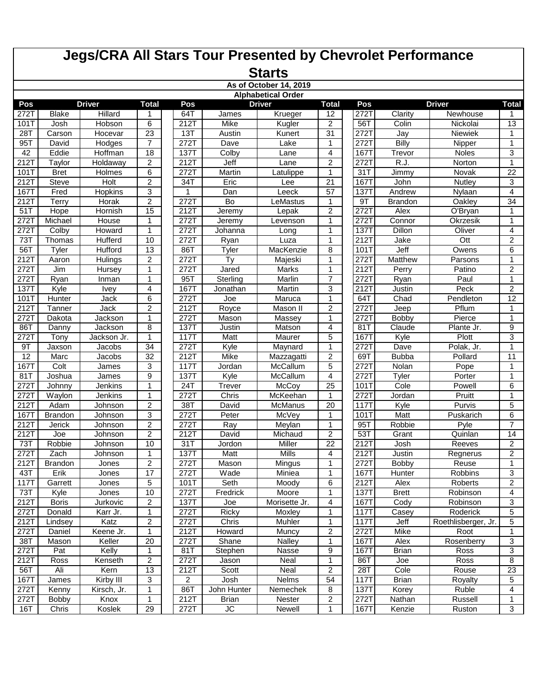|                           | <b>Jegs/CRA All Stars Tour Presented by Chevrolet Performance</b> |                |                     |                   |                |                        |                 |                    |                |                         |                     |  |  |  |
|---------------------------|-------------------------------------------------------------------|----------------|---------------------|-------------------|----------------|------------------------|-----------------|--------------------|----------------|-------------------------|---------------------|--|--|--|
|                           |                                                                   |                |                     |                   |                | <b>Starts</b>          |                 |                    |                |                         |                     |  |  |  |
|                           |                                                                   |                |                     |                   |                | As of October 14, 2019 |                 |                    |                |                         |                     |  |  |  |
| <b>Alphabetical Order</b> |                                                                   |                |                     |                   |                |                        |                 |                    |                |                         |                     |  |  |  |
| Pos                       |                                                                   | <b>Driver</b>  | <b>Total</b>        | Pos               |                | <b>Driver</b>          | <b>Total</b>    | Pos                |                | <b>Driver</b>           | <b>Total</b>        |  |  |  |
| 272T                      | <b>Blake</b>                                                      | Hillard        | 1                   | 64T               | James          | Krueger                | 12              | 272T               | Clarity        | Newhouse                | 1.                  |  |  |  |
| 101T                      | Josh                                                              | Hobson         | 6                   | 212T              | Mike           | Kugler                 | $\overline{2}$  | 56T                | Colin          | Nickolai                | 13                  |  |  |  |
| 28T                       | Carson                                                            | Hocevar        | 23                  | 13T               | Austin         | Kunert                 | 31              | 272T               | Jay            | <b>Niewiek</b>          | 1                   |  |  |  |
| 957                       | David                                                             | Hodges         | $\overline{7}$      | 272T              | Dave           | Lake                   | 1               | 272T               | Billy          | Nipper                  | 1                   |  |  |  |
| 42                        | Eddie                                                             | <b>Hoffman</b> | 18                  | 137T              | Colby          | Lane                   | 4               | 167T               | Trevor         | <b>Noles</b>            | 3                   |  |  |  |
| 2127                      | Taylor                                                            | Holdaway       | $\overline{c}$      | 212T              | Jeff           | Lane                   | $\overline{2}$  | 272T               | R.J.           | Norton                  | $\mathbf{1}$        |  |  |  |
| 101T                      | <b>Bret</b>                                                       | Holmes         | 6                   | 272T              | Martin         | Latulippe              | 1               | 31T                | Jimmy          | Novak                   | 22                  |  |  |  |
| 212T                      | <b>Steve</b>                                                      | Holt           | 2                   | 34T               | Eric           | Lee                    | 21              | 167T               | John           | Nutley                  | 3                   |  |  |  |
| <b>167T</b>               | Fred                                                              | Hopkins        | 3                   | 1                 | Dan            | Leeck                  | 57              | 137                | Andrew         | Nylaan                  | $\overline{4}$      |  |  |  |
| 212T                      | Terry                                                             | Horak          | $\overline{2}$      | $\overline{272T}$ | Bo             | LeMastus               | 1               | 9T                 | <b>Brandon</b> | Oakley                  | 34                  |  |  |  |
| 51                        | Hope                                                              | Hornish        | 15                  | 212T              | Jeremy         | Lepak                  | $\overline{2}$  | 272T               | <b>Alex</b>    | O'Bryan                 | 1                   |  |  |  |
| 2721                      | Michael                                                           | House          | 1                   | 272T              | Jeremy         | Levenson               | 1               | 2721               | Connor         | Okrzesik                | $\mathbf{1}$        |  |  |  |
| 272T                      | Colby                                                             | <b>Howard</b>  | 1                   | 272T              | Johanna        | Long                   | 1               | 1371               | Dillon         | Oliver                  | 4                   |  |  |  |
| 73T                       | Thomas                                                            | <b>Hufferd</b> | 10                  | 272T              | Ryan           | Luza                   | 1               | 212T               | Jake           | Ott                     | $\overline{2}$      |  |  |  |
| 56T                       | Tyler                                                             | Hufford        | 13                  | 86T               | Tyler          | MacKenzie              | 8               | 101T               | Jeff           | Owens                   | 6                   |  |  |  |
| 212T                      | Aaron                                                             | <b>Hulings</b> | $\overline{c}$      | 272T              | Ty             | Majeski                | 1               | 272T               | Matthew        | Parsons                 | 1                   |  |  |  |
| 272T                      | Jim                                                               | Hursey         | 1                   | 272T              | Jared          | <b>Marks</b>           | 1               | 212T               | Perry          | Patino                  | $\overline{c}$      |  |  |  |
| $272$ T                   | Ryan                                                              | Inman          | 1                   | 95T               | Sterling       | Marlin                 | $\overline{7}$  | 2721               | Ryan           | Paul                    | $\mathbf{1}$        |  |  |  |
| <b>137T</b>               | Kyle                                                              | Ivey           | 4                   | 167T              | Jonathan       | Martin                 | 3               | 212T               | Justin         | Peck                    | $\overline{2}$      |  |  |  |
| 101T                      | Hunter                                                            | Jack           | 6                   | 272T              | Joe            | Maruca                 | 1               | 64T                | Chad           | Pendleton               | $\overline{12}$     |  |  |  |
| 212T                      | Tanner                                                            | Jack           | $\overline{2}$      | 212T              | Royce          | Mason II               | 2               | 272T               | Jeep           | Pflum                   | 1                   |  |  |  |
| 272T                      | Dakota                                                            | Jackson        | 1                   | 272T              | Mason          | Massey                 | 1               | 272T               | <b>Bobby</b>   | Pierce                  | 1                   |  |  |  |
| 86T                       | Danny                                                             | Jackson        | 8                   | 137T              | Justin         | Matson                 | 4               | 81T                | Claude         | Plante Jr.              | 9                   |  |  |  |
| 272T                      | Tony                                                              | Jackson Jr.    | 1                   | <b>117T</b>       | Matt           | Maurer                 | 5               | 167T               | Kyle           | Plott                   | 3                   |  |  |  |
| 9T                        | Jaxson                                                            | Jacobs         | 34                  | 272T              | Kyle           | Maynard                | 1               | 272T               | Dave           | Polak, Jr.              | 1                   |  |  |  |
| 12                        | Marc                                                              | Jacobs         | 32                  | 212T              | Mike           | Mazzagatti             | $\overline{c}$  | 69T                | <b>Bubba</b>   | Pollard                 | 11                  |  |  |  |
| <b>167T</b>               | Colt                                                              | James          | 3                   | 117T              | Jordan         | McCallum               | 5               | 272T               | Nolan          | Pope                    | $\mathbf{1}$        |  |  |  |
| 81T                       | Joshua                                                            | James          | 9                   | <b>137T</b>       | Kyle           | McCallum               | 4               | 272T               | Tyler          | Porter                  | $\mathbf{1}$        |  |  |  |
| 272T                      | Johnny                                                            | Jenkins        | 1                   | 24T               | Trever         | McCoy                  | 25              | 101T               | Cole           | Powell                  | 6                   |  |  |  |
| 2721                      | Waylon                                                            | Jenkins        | 1                   | 272T              | Chris          | McKeehan               | 1               | 272T               | Jordan         | Pruitt                  | 1                   |  |  |  |
| 212T                      | Adam                                                              | Johnson        | $\overline{2}$      | 38T               | David          | McManus                | $\overline{20}$ | <b>117T</b>        | Kyle           | Purvis                  | 5                   |  |  |  |
| $16\overline{7}$          | <b>Brandon</b>                                                    | Johnson        | 3                   | 272T              | Peter          | McVey                  | 1               | 101T               | Matt           | Puskarich               | 6                   |  |  |  |
| 212T                      | Jerick                                                            | Johnson        | 2                   | 272T              | Ray            |                        | 1               | 95T                | Robbie         | Pyle                    | $\overline{7}$      |  |  |  |
| 212T                      | Joe                                                               | Johnson        | $\overline{2}$      | 212T              | David          | Meylan<br>Michaud      | $\overline{2}$  | 53T                | Grant          | Quinlan                 | 14                  |  |  |  |
|                           | Robbie                                                            |                |                     | 31T               |                | Miller                 | 22              | 212T               | Josh           | Reeves                  |                     |  |  |  |
| 73T<br>2721               | Zach                                                              | Johnson        | 10                  | 137T              | Jordon<br>Matt | <b>Mills</b>           | 4               | 212T               |                | Regnerus                | 2<br>$\overline{2}$ |  |  |  |
|                           |                                                                   | Johnson        | 1<br>$\overline{2}$ | 272T              |                |                        |                 | $\overline{272}$ T | Justin         |                         | $\mathbf{1}$        |  |  |  |
| 212T                      | <b>Brandon</b>                                                    | Jones          |                     |                   | Mason          | Mingus                 | 1               |                    | Bobby          | Reuse<br><b>Robbins</b> |                     |  |  |  |
| 43T                       | Erik                                                              | Jones          | 17                  | 272T              | Wade           | Miniea                 | 1               | 1671               | Hunter         |                         | 3                   |  |  |  |
| <b>117T</b>               | Garrett                                                           | Jones          | 5                   | 101T              | Seth           | Moody                  | 6               | 212T               | Alex           | Roberts                 | 2                   |  |  |  |
| 73T                       | Kyle                                                              | Jones          | 10                  | 272T              | Fredrick       | Moore                  | 1               | 137T               | <b>Brett</b>   | Robinson                | 4                   |  |  |  |
| 212T                      | <b>Boris</b>                                                      | Jurkovic       | $\overline{2}$      | 137T              | Joe            | Morisette Jr.          | 4               | 1671               | Cody           | Robinson                | 3                   |  |  |  |
| 272T                      | Donald                                                            | Karr Jr.       | $\mathbf{1}$        | 272T              | Ricky          | Moxley                 | 1               | 117T               | Casey          | Roderick                | $\overline{5}$      |  |  |  |
| 212T                      | Lindsey                                                           | Katz           | $\overline{c}$      | 272T              | Chris          | Muhler                 | 1               | 117T               | Jeff           | Roethlisberger, Jr.     | 5                   |  |  |  |
| $272\overline{1}$         | Daniel                                                            | Keene Jr.      | $\mathbf{1}$        | 212T              | Howard         | Muncy                  | $\overline{c}$  | 272T               | Mike           | Root                    | $\mathbf{1}$        |  |  |  |
| 38T                       | Mason                                                             | Keller         | 20                  | 272T              | Shane          | Nalley                 | 1               | <b>167T</b>        | Alex           | Rosenberry              | 3                   |  |  |  |
| 272T                      | Pat                                                               | Kelly          | 1                   | 81T               | Stephen        | Nasse                  | 9               | 167T               | <b>Brian</b>   | Ross                    | 3                   |  |  |  |
| 212T                      | Ross                                                              | Kenseth        | $\overline{c}$      | 272T              | Jason          | Neal                   | 1               | 86T                | Joe            | Ross                    | $\overline{8}$      |  |  |  |
| 56T                       | Ali                                                               | Kern           | 13                  | 212T              | Scott          | Neal                   | $\overline{c}$  | 28T                | Cole           | Rouse                   | 23                  |  |  |  |
| <b>167T</b>               | James                                                             | Kirby III      | 3                   | 2                 | Josh           | Nelms                  | 54              | <b>117T</b>        | <b>Brian</b>   | Royalty                 | 5                   |  |  |  |
| 272T                      | Kenny                                                             | Kirsch, Jr.    | 1                   | 86T               | John Hunter    | Nemechek               | 8               | 137T               | Korey          | Ruble                   | 4                   |  |  |  |
| 272T                      | <b>Bobby</b>                                                      | Knox           | 1                   | 212T              | Brian          | Nester                 | $\overline{c}$  | 272T               | Nathan         | Russell                 | 1                   |  |  |  |
| 16T                       | Chris                                                             | Koslek         | 29                  | 272T              | $\overline{C}$ | Newell                 | 1               | 167T               | Kenzie         | Ruston                  | $\overline{3}$      |  |  |  |